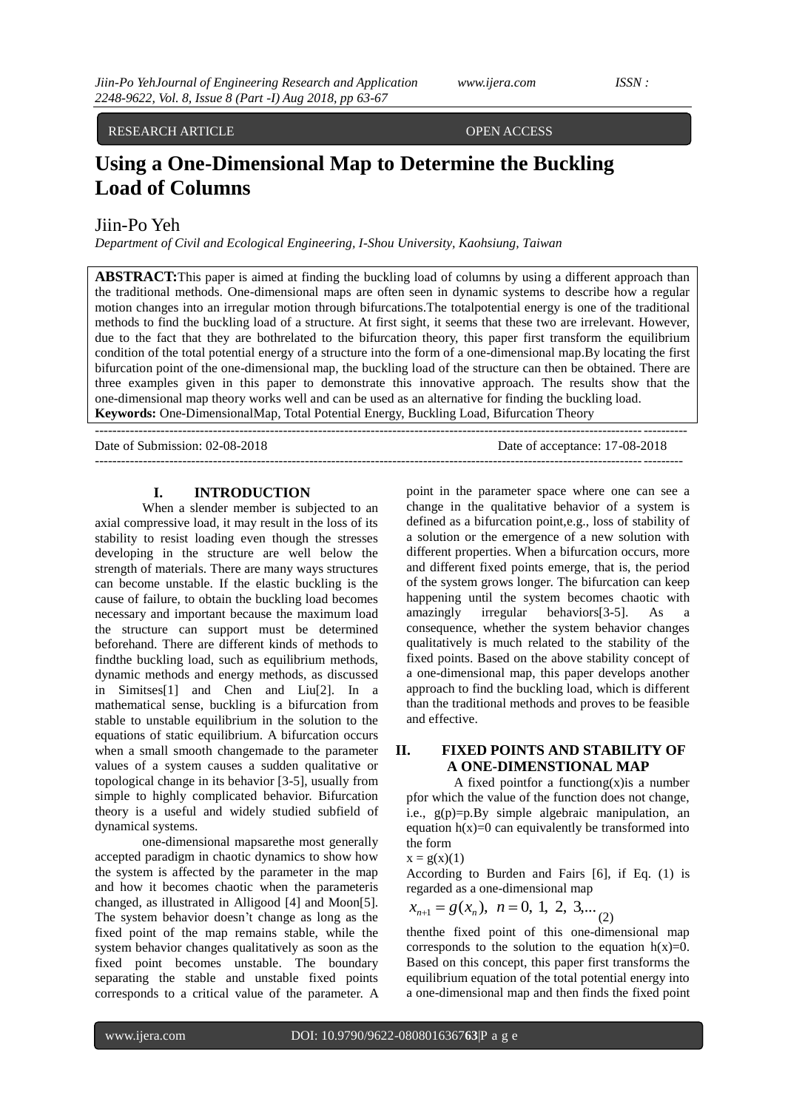# RESEARCH ARTICLE OPEN ACCESS

# **Using a One-Dimensional Map to Determine the Buckling Load of Columns**

Jiin-Po Yeh

*Department of Civil and Ecological Engineering, I-Shou University, Kaohsiung, Taiwan*

**ABSTRACT:**This paper is aimed at finding the buckling load of columns by using a different approach than the traditional methods. One-dimensional maps are often seen in dynamic systems to describe how a regular motion changes into an irregular motion through bifurcations.The totalpotential energy is one of the traditional methods to find the buckling load of a structure. At first sight, it seems that these two are irrelevant. However, due to the fact that they are bothrelated to the bifurcation theory, this paper first transform the equilibrium condition of the total potential energy of a structure into the form of a one-dimensional map.By locating the first bifurcation point of the one-dimensional map, the buckling load of the structure can then be obtained. There are three examples given in this paper to demonstrate this innovative approach. The results show that the one-dimensional map theory works well and can be used as an alternative for finding the buckling load. **Keywords:** One-DimensionalMap, Total Potential Energy, Buckling Load, Bifurcation Theory

---------------------------------------------------------------------------------------------------------------------------------------

Date of Submission: 02-08-2018 Date of acceptance: 17-08-2018  $-1\leq i\leq n-1$ 

#### **I. INTRODUCTION**

When a slender member is subjected to an axial compressive load, it may result in the loss of its stability to resist loading even though the stresses developing in the structure are well below the strength of materials. There are many ways structures can become unstable. If the elastic buckling is the cause of failure, to obtain the buckling load becomes necessary and important because the maximum load the structure can support must be determined beforehand. There are different kinds of methods to findthe buckling load, such as equilibrium methods, dynamic methods and energy methods, as discussed in Simitses[1] and Chen and Liu[2]. In a mathematical sense, buckling is a bifurcation from stable to unstable equilibrium in the solution to the equations of static equilibrium. A bifurcation occurs when a small smooth changemade to the parameter values of a system causes a sudden qualitative or topological change in its behavior [3-5], usually from simple to highly complicated behavior. Bifurcation theory is a useful and widely studied subfield of dynamical systems.

one-dimensional mapsarethe most generally accepted paradigm in chaotic dynamics to show how the system is affected by the parameter in the map and how it becomes chaotic when the parameteris changed, as illustrated in Alligood [4] and Moon[5]. The system behavior doesn't change as long as the fixed point of the map remains stable, while the system behavior changes qualitatively as soon as the fixed point becomes unstable. The boundary separating the stable and unstable fixed points corresponds to a critical value of the parameter. A point in the parameter space where one can see a change in the qualitative behavior of a system is defined as a bifurcation point,e.g., loss of stability of a solution or the emergence of a new solution with different properties. When a bifurcation occurs, more and different fixed points emerge, that is, the period of the system grows longer. The bifurcation can keep happening until the system becomes chaotic with amazingly irregular behaviors[3-5]. As a consequence, whether the system behavior changes qualitatively is much related to the stability of the fixed points. Based on the above stability concept of a one-dimensional map, this paper develops another approach to find the buckling load, which is different than the traditional methods and proves to be feasible and effective.

# **II. FIXED POINTS AND STABILITY OF A ONE-DIMENSTIONAL MAP**

A fixed pointfor a functiong $(x)$  is a number pfor which the value of the function does not change, i.e., g(p)=p.By simple algebraic manipulation, an equation  $h(x)=0$  can equivalently be transformed into the form

$$
x = g(x)(1)
$$

According to Burden and Fairs [6], if Eq. (1) is regarded as a one-dimensional map

$$
x_{n+1} = g(x_n), n = 0, 1, 2, 3,...
$$
 (2)

thenthe fixed point of this one-dimensional map corresponds to the solution to the equation  $h(x)=0$ . Based on this concept, this paper first transforms the equilibrium equation of the total potential energy into a one-dimensional map and then finds the fixed point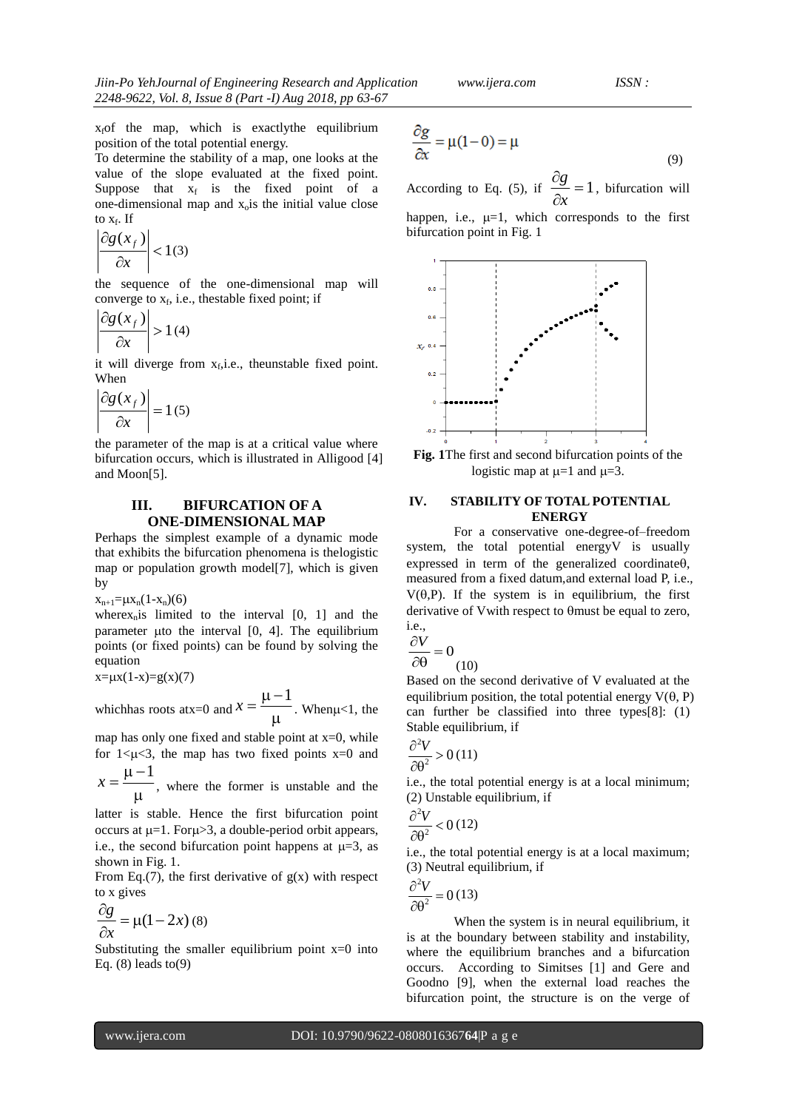$x<sub>f</sub>$  of the map, which is exactly the equilibrium position of the total potential energy.

To determine the stability of a map, one looks at the value of the slope evaluated at the fixed point. Suppose that  $x_f$  is the fixed point of a one-dimensional map and  $x<sub>o</sub>$  is the initial value close to  $x_f$ . If

$$
\left|\frac{\partial g(x_f)}{\partial x}\right| < 1(3)
$$

the sequence of the one-dimensional map will converge to  $x_f$ , i.e., thestable fixed point; if

$$
\left| \frac{\partial g(x_f)}{\partial x} \right| > 1 \text{ (4)}
$$

it will diverge from  $x_f$ , i.e., theunstable fixed point. When

$$
\left| \frac{\partial g(x_f)}{\partial x} \right| = 1 \text{ (5)}
$$

the parameter of the map is at a critical value where bifurcation occurs, which is illustrated in Alligood [4] and Moon[5].

## **III. BIFURCATION OF A ONE-DIMENSIONAL MAP**

Perhaps the simplest example of a dynamic mode that exhibits the bifurcation phenomena is thelogistic map or population growth model[7], which is given by

 $x_{n+1} = \mu x_n(1-x_n)(6)$ 

where $x_n$  is limited to the interval  $[0, 1]$  and the parameter  $\mu$ to the interval  $[0, 4]$ . The equilibrium points (or fixed points) can be found by solving the equation

$$
x=\mu x(1-x)=g(x)(7)
$$

which has roots at  $x=0$  and  $x = \frac{1}{\mu}$  $x = \frac{\mu - 1}{\mu}$ . When  $\mu < 1$ , the

map has only one fixed and stable point at  $x=0$ , while for  $1 \leq \mu \leq 3$ , the map has two fixed points x=0 and

 $\mu$  $x = \frac{\mu - 1}{\mu}$ , where the former is unstable and the

latter is stable. Hence the first bifurcation point occurs at  $\mu=1$ . For $\mu>3$ , a double-period orbit appears, i.e., the second bifurcation point happens at  $\mu=3$ , as shown in Fig. 1.

From Eq.(7), the first derivative of  $g(x)$  with respect to x gives

$$
\frac{\partial g}{\partial x} = \mu(1 - 2x) \tag{8}
$$

Substituting the smaller equilibrium point  $x=0$  into Eq.  $(8)$  leads to  $(9)$ 

$$
\frac{\partial g}{\partial x} = \mu(1 - 0) = \mu \tag{9}
$$

According to Eq. (5), if  $\frac{g}{g} = 1$  $\hat{o}$  $\hat{c}$ *x*  $\frac{g}{g}$  = 1, bifurcation will

happen, i.e.,  $\mu=1$ , which corresponds to the first bifurcation point in Fig. 1



**Fig. 1**The first and second bifurcation points of the logistic map at  $\mu=1$  and  $\mu=3$ .

### **IV. STABILITY OF TOTAL POTENTIAL ENERGY**

For a conservative one-degree-of–freedom system, the total potential energyV is usually expressed in term of the generalized coordinate $\theta$ , measured from a fixed datum,and external load P, i.e.,  $V(\theta, P)$ . If the system is in equilibrium, the first derivative of V with respect to  $\theta$  must be equal to zero. i.e.,

$$
\frac{\partial V}{\partial \Omega} = 0
$$

$$
\partial \theta \qquad (10)
$$

Based on the second derivative of V evaluated at the equilibrium position, the total potential energy  $V(\theta, P)$ can further be classified into three types[8]: (1) Stable equilibrium, if

$$
\frac{\partial^2 V}{\partial \theta^2} > 0 \text{ (11)}
$$

 $\lambda$ 

i.e., the total potential energy is at a local minimum; (2) Unstable equilibrium, if

$$
\frac{\partial^2 V}{\partial \theta^2} < 0 \text{ (12)}
$$

i.e., the total potential energy is at a local maximum; (3) Neutral equilibrium, if

$$
\frac{\partial^2 V}{\partial \theta^2} = 0 \, (13)
$$

When the system is in neural equilibrium, it is at the boundary between stability and instability, where the equilibrium branches and a bifurcation occurs. According to Simitses [1] and Gere and Goodno [9], when the external load reaches the bifurcation point, the structure is on the verge of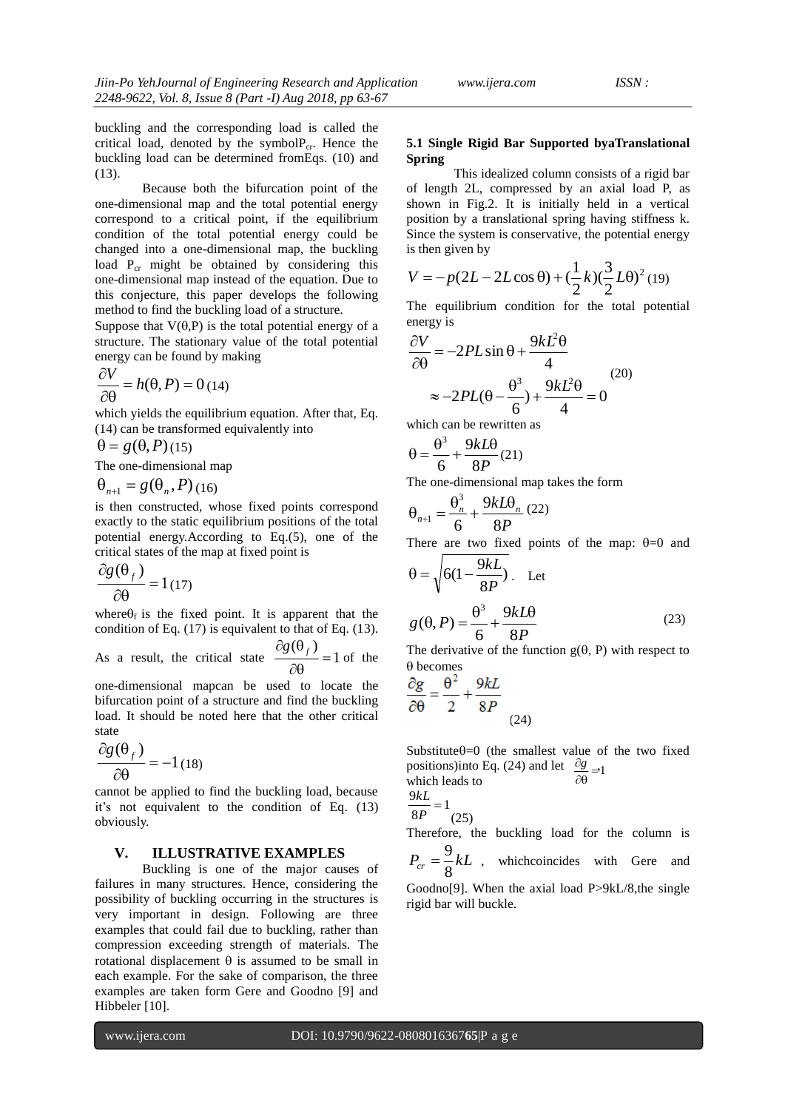buckling and the corresponding load is called the critical load, denoted by the symbol $P_{cr}$ . Hence the buckling load can be determined fromEqs. (10) and (13).

Because both the bifurcation point of the one-dimensional map and the total potential energy correspond to a critical point, if the equilibrium condition of the total potential energy could be changed into a one-dimensional map, the buckling load  $P_{cr}$  might be obtained by considering this one-dimensional map instead of the equation. Due to this conjecture, this paper develops the following method to find the buckling load of a structure.

Suppose that  $V(\theta, P)$  is the total potential energy of a structure. The stationary value of the total potential energy can be found by making

$$
\frac{\partial V}{\partial \theta} = h(\theta, P) = 0
$$
 (14)

which yields the equilibrium equation. After that, Eq. (14) can be transformed equivalently into

$$
\theta = g(\theta, P)(15)
$$

The one-dimensional map

$$
\Theta_{n+1} = g(\Theta_n, P)_{(16)}
$$

is then constructed, whose fixed points correspond exactly to the static equilibrium positions of the total potential energy.According to Eq.(5), one of the critical states of the map at fixed point is

$$
\frac{\partial g(\theta_f)}{\partial \theta} = 1(17)
$$

where  $\theta_f$  is the fixed point. It is apparent that the condition of Eq.  $(17)$  is equivalent to that of Eq.  $(13)$ .

As a result, the critical state  $\frac{18(17)}{20} = 1$  $(\theta_t)$  $=$  $\partial \theta$  $\frac{\partial g(\theta_f)}{\partial g} = 1$  of the

one-dimensional mapcan be used to locate the bifurcation point of a structure and find the buckling load. It should be noted here that the other critical state

$$
\frac{\partial g(\theta_f)}{\partial \theta} = -1(18)
$$

cannot be applied to find the buckling load, because it's not equivalent to the condition of Eq. (13) obviously.

#### **V. ILLUSTRATIVE EXAMPLES**

Buckling is one of the major causes of failures in many structures. Hence, considering the possibility of buckling occurring in the structures is very important in design. Following are three examples that could fail due to buckling, rather than compression exceeding strength of materials. The rotational displacement  $\theta$  is assumed to be small in each example. For the sake of comparison, the three examples are taken form Gere and Goodno [9] and Hibbeler [10].

### **5.1 Single Rigid Bar Supported byaTranslational Spring**

This idealized column consists of a rigid bar of length 2L, compressed by an axial load P, as shown in Fig.2. It is initially held in a vertical position by a translational spring having stiffness k. Since the system is conservative, the potential energy is then given by

$$
V = -p(2L - 2L\cos\theta) + (\frac{1}{2}k)(\frac{3}{2}L\theta)^2(19)
$$

The equilibrium condition for the total potential energy is

$$
\frac{\partial V}{\partial \theta} = -2PL\sin\theta + \frac{9kL^2\theta}{4}
$$
  

$$
\approx -2PL(\theta - \frac{\theta^3}{6}) + \frac{9kL^2\theta}{4} = 0
$$
 (20)

which can be rewritten as

$$
\theta = \frac{\theta^3}{6} + \frac{9kL\theta}{8P}(21)
$$

The one-dimensional map takes the form

$$
\theta_{n+1} = \frac{\theta_n^3}{6} + \frac{9kL\theta_n}{8P} (22)
$$

There are two fixed points of the map:  $\theta=0$  and

$$
\theta = \sqrt{6(1 - \frac{9kL}{8P})}.
$$
 Let  

$$
g(\theta, P) = \frac{\theta^3}{6} + \frac{9kL\theta}{8P}
$$
(23)

The derivative of the function  $g(\theta, P)$  with respect to  $\theta$  becomes

$$
\frac{\partial g}{\partial \theta} = \frac{\theta^2}{2} + \frac{9kL}{8P}
$$
\n(24)

 $\frac{\sigma_8}{\partial \theta}$  = 1 positions)into Eq. (24) and let  $\frac{\partial g}{\partial s}$ Substitute $\theta=0$  (the smallest value of the two fixed which leads to

$$
\frac{9kL}{8P} = 1
$$
\n<sup>(25)</sup>

Therefore, the buckling load for the column is  $=\frac{9}{5}kL$ , whichcoincides with Gere and

 $P_{cr} = \frac{3}{8} kL$ 

Goodno<sup>[9]</sup>. When the axial load P>9kL/8,the single rigid bar will buckle.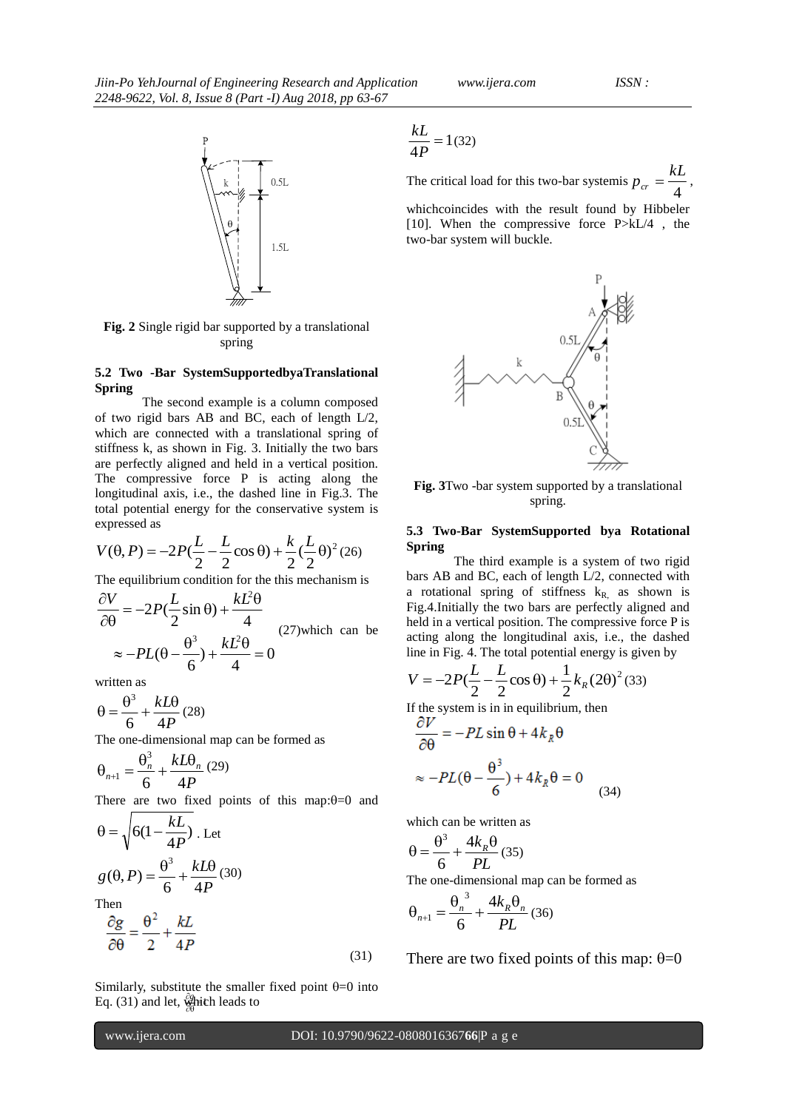

**Fig. 2** Single rigid bar supported by a translational spring

#### **5.2 Two -Bar SystemSupportedbyaTranslational Spring**

The second example is a column composed of two rigid bars AB and BC, each of length L/2, which are connected with a translational spring of stiffness k, as shown in Fig. 3. Initially the two bars are perfectly aligned and held in a vertical position. The compressive force P is acting along the longitudinal axis, i.e., the dashed line in Fig.3. The total potential energy for the conservative system is expressed as

$$
V(\theta, P) = -2P(\frac{L}{2} - \frac{L}{2}\cos\theta) + \frac{k}{2}(\frac{L}{2}\theta)^2 (26)
$$

The equilibrium condition for the this mechanism is

$$
\frac{\partial V}{\partial \theta} = -2P(\frac{L}{2}\sin\theta) + \frac{kL^2\theta}{4}
$$
  
 
$$
\approx -PL(\theta - \frac{\theta^3}{6}) + \frac{kL^2\theta}{4} = 0
$$
 (27)which can be

written as

*P kL* 6 4  $\theta = \frac{\theta^3}{4} + \frac{kL\theta}{4}$  (28)

The one-dimensional map can be formed as

$$
\theta_{n+1} = \frac{\theta_n^3}{6} + \frac{kL\theta_n}{4P} (29)
$$

There are two fixed points of this map: $\theta=0$  and

$$
\theta = \sqrt{6(1 - \frac{kL}{4P})}.
$$
 Let  

$$
g(\theta, P) = \frac{\theta^3}{6} + \frac{kL\theta}{4P}(30)
$$
  
Then  

$$
\frac{\partial g}{\partial \theta} = \frac{\theta^2}{2} + \frac{kL}{4P}
$$

₩hicl<br>∂0 Eq. (31) and let,  $\frac{\partial g}{\partial x}$  hich leads to Similarly, substitute the smaller fixed point  $\theta$ =0 into

$$
\frac{kL}{4P} = 1(32)
$$

The critical load for this two-bar systemis  $p_{cr} = \frac{4}{4}$  $p_{cr} = \frac{kL}{4}$ 

whichcoincides with the result found by Hibbeler [10]. When the compressive force P>kL/4 , the two-bar system will buckle.



**Fig. 3**Two -bar system supported by a translational spring.

#### **5.3 Two-Bar SystemSupported bya Rotational Spring**

The third example is a system of two rigid bars AB and BC, each of length L/2, connected with a rotational spring of stiffness  $k_{R}$ , as shown is Fig.4.Initially the two bars are perfectly aligned and held in a vertical position. The compressive force P is acting along the longitudinal axis, i.e., the dashed line in Fig. 4. The total potential energy is given by

$$
V = -2P(\frac{L}{2} - \frac{L}{2}\cos\theta) + \frac{1}{2}k_R(2\theta)^2
$$
 (33)

If the system is in in equilibrium, then

$$
\frac{\partial V}{\partial \theta} = -PL \sin \theta + 4k_R \theta
$$

$$
\approx -PL(\theta - \frac{\theta^3}{6}) + 4k_R \theta = 0
$$
(34)

which can be written as

$$
\theta = \frac{\theta^3}{6} + \frac{4k_R\theta}{PL} \tag{35}
$$

The one-dimensional map can be formed as

$$
\theta_{n+1} = \frac{\theta_n^3}{6} + \frac{4k_R\theta_n}{PL} (36)
$$

There are two fixed points of this map:  $\theta = 0$ 

(31)